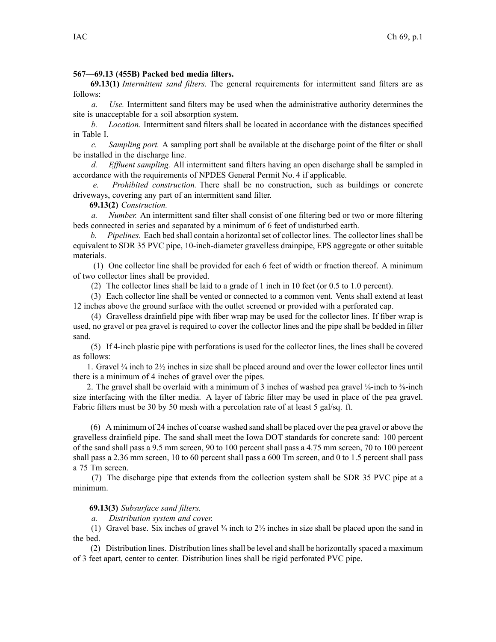## **567—69.13 (455B) Packed bed media filters.**

**69.13(1)** *Intermittent sand filters.* The general requirements for intermittent sand filters are as follows:

*a. Use.* Intermittent sand filters may be used when the administrative authority determines the site is unacceptable for <sup>a</sup> soil absorption system.

*b. Location.* Intermittent sand filters shall be located in accordance with the distances specified in Table I.

*c. Sampling port.* A sampling por<sup>t</sup> shall be available at the discharge point of the filter or shall be installed in the discharge line.

*d. Effluent sampling.* All intermittent sand filters having an open discharge shall be sampled in accordance with the requirements of NPDES General Permit No. 4 if applicable.

*e. Prohibited construction.* There shall be no construction, such as buildings or concrete driveways, covering any par<sup>t</sup> of an intermittent sand filter.

**69.13(2)** *Construction.*

*a. Number.* An intermittent sand filter shall consist of one filtering bed or two or more filtering beds connected in series and separated by <sup>a</sup> minimum of 6 feet of undisturbed earth.

*b. Pipelines.* Each bed shall contain a horizontal set of collector lines. The collector lines shall be equivalent to SDR 35 PVC pipe, 10-inch-diameter gravelless drainpipe, EPS aggregate or other suitable materials.

(1) One collector line shall be provided for each 6 feet of width or fraction thereof. A minimum of two collector lines shall be provided.

(2) The collector lines shall be laid to <sup>a</sup> grade of 1 inch in 10 feet (or 0.5 to 1.0 percent).

(3) Each collector line shall be vented or connected to <sup>a</sup> common vent. Vents shall extend at least 12 inches above the ground surface with the outlet screened or provided with <sup>a</sup> perforated cap.

(4) Gravelless drainfield pipe with fiber wrap may be used for the collector lines. If fiber wrap is used, no gravel or pea gravel is required to cover the collector lines and the pipe shall be bedded in filter sand.

(5) If 4-inch plastic pipe with perforations is used for the collector lines, the lines shall be covered as follows:

1. Gravel  $\frac{3}{4}$  inch to  $\frac{2}{2}$  inches in size shall be placed around and over the lower collector lines until there is <sup>a</sup> minimum of 4 inches of gravel over the pipes.

2. The gravel shall be overlaid with a minimum of 3 inches of washed pea gravel  $\frac{1}{2}$ -inch to  $\frac{3}{8}$ -inch size interfacing with the filter media. A layer of fabric filter may be used in place of the pea gravel. Fabric filters must be 30 by 50 mesh with <sup>a</sup> percolation rate of at least 5 gal/sq. ft.

(6) A minimum of 24 inches of coarse washed sand shall be placed over the pea gravel or above the gravelless drainfield pipe. The sand shall meet the Iowa DOT standards for concrete sand: 100 percen<sup>t</sup> of the sand shall pass <sup>a</sup> 9.5 mm screen, 90 to 100 percen<sup>t</sup> shall pass <sup>a</sup> 4.75 mm screen, 70 to 100 percen<sup>t</sup> shall pass <sup>a</sup> 2.36 mm screen, 10 to 60 percen<sup>t</sup> shall pass <sup>a</sup> 600 Tm screen, and 0 to 1.5 percen<sup>t</sup> shall pass <sup>a</sup> 75 Tm screen.

(7) The discharge pipe that extends from the collection system shall be SDR 35 PVC pipe at <sup>a</sup> minimum.

## **69.13(3)** *Subsurface sand filters.*

*a. Distribution system and cover.*

(1) Gravel base. Six inches of gravel  $\frac{3}{4}$  inch to  $\frac{2}{2}$  inches in size shall be placed upon the sand in the bed.

(2) Distribution lines. Distribution lines shall be level and shall be horizontally spaced a maximum of 3 feet apart, center to center. Distribution lines shall be rigid perforated PVC pipe.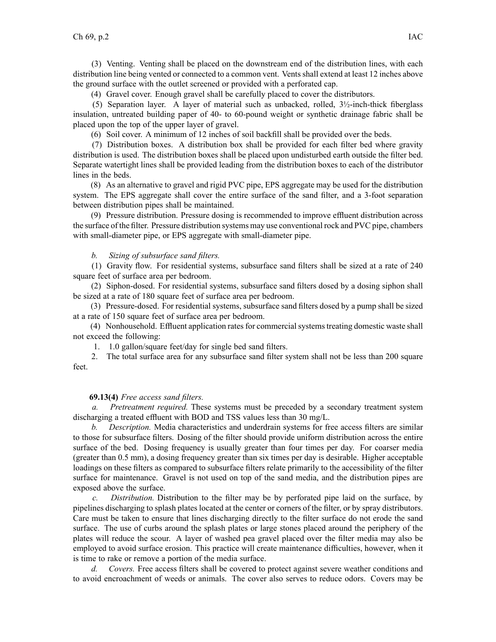(3) Venting. Venting shall be placed on the downstream end of the distribution lines, with each distribution line being vented or connected to <sup>a</sup> common vent. Vents shall extend at least 12 inches above the ground surface with the outlet screened or provided with <sup>a</sup> perforated cap.

(4) Gravel cover. Enough gravel shall be carefully placed to cover the distributors.

(5) Separation layer. A layer of material such as unbacked, rolled,  $3\frac{1}{2}$ -inch-thick fiberglass insulation, untreated building paper of 40- to 60-pound weight or synthetic drainage fabric shall be placed upon the top of the upper layer of gravel.

(6) Soil cover. A minimum of 12 inches of soil backfill shall be provided over the beds.

(7) Distribution boxes. A distribution box shall be provided for each filter bed where gravity distribution is used. The distribution boxes shall be placed upon undisturbed earth outside the filter bed. Separate watertight lines shall be provided leading from the distribution boxes to each of the distributor lines in the beds.

(8) As an alternative to gravel and rigid PVC pipe, EPS aggregate may be used for the distribution system. The EPS aggregate shall cover the entire surface of the sand filter, and <sup>a</sup> 3-foot separation between distribution pipes shall be maintained.

(9) Pressure distribution. Pressure dosing is recommended to improve effluent distribution across the surface of the filter. Pressure distribution systems may use conventional rock and PVC pipe, chambers with small-diameter pipe, or EPS aggregate with small-diameter pipe.

## *b. Sizing of subsurface sand filters.*

(1) Gravity flow. For residential systems, subsurface sand filters shall be sized at <sup>a</sup> rate of 240 square feet of surface area per bedroom.

(2) Siphon-dosed. For residential systems, subsurface sand filters dosed by <sup>a</sup> dosing siphon shall be sized at <sup>a</sup> rate of 180 square feet of surface area per bedroom.

(3) Pressure-dosed. For residential systems, subsurface sand filters dosed by <sup>a</sup> pump shall be sized at <sup>a</sup> rate of 150 square feet of surface area per bedroom.

(4) Nonhousehold. Effluent application rates for commercial systems treating domestic waste shall not exceed the following:

1. 1.0 gallon/square feet/day for single bed sand filters.

2. The total surface area for any subsurface sand filter system shall not be less than 200 square feet.

## **69.13(4)** *Free access sand filters.*

*a. Pretreatment required.* These systems must be preceded by <sup>a</sup> secondary treatment system discharging <sup>a</sup> treated effluent with BOD and TSS values less than 30 mg/L.

*b. Description.* Media characteristics and underdrain systems for free access filters are similar to those for subsurface filters. Dosing of the filter should provide uniform distribution across the entire surface of the bed. Dosing frequency is usually greater than four times per day. For coarser media (greater than 0.5 mm), <sup>a</sup> dosing frequency greater than six times per day is desirable. Higher acceptable loadings on these filters as compared to subsurface filters relate primarily to the accessibility of the filter surface for maintenance. Gravel is not used on top of the sand media, and the distribution pipes are exposed above the surface.

*c. Distribution.* Distribution to the filter may be by perforated pipe laid on the surface, by pipelines discharging to splash plates located at the center or corners of the filter, or by spray distributors. Care must be taken to ensure that lines discharging directly to the filter surface do not erode the sand surface. The use of curbs around the splash plates or large stones placed around the periphery of the plates will reduce the scour. A layer of washed pea gravel placed over the filter media may also be employed to avoid surface erosion. This practice will create maintenance difficulties, however, when it is time to rake or remove <sup>a</sup> portion of the media surface.

*d. Covers.* Free access filters shall be covered to protect against severe weather conditions and to avoid encroachment of weeds or animals. The cover also serves to reduce odors. Covers may be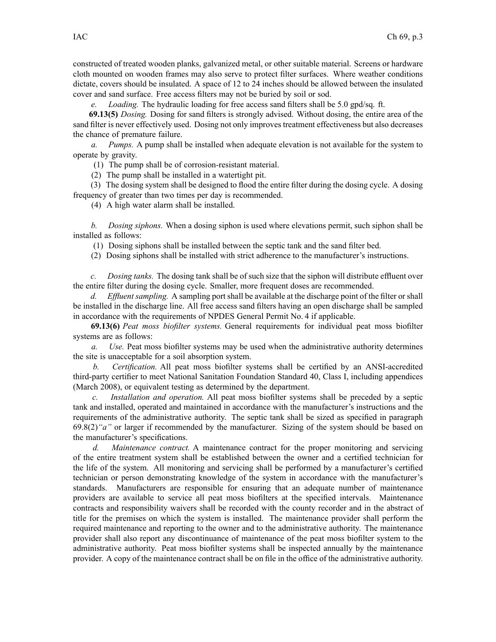constructed of treated wooden planks, galvanized metal, or other suitable material. Screens or hardware cloth mounted on wooden frames may also serve to protect filter surfaces. Where weather conditions dictate, covers should be insulated. A space of 12 to 24 inches should be allowed between the insulated cover and sand surface. Free access filters may not be buried by soil or sod.

*e. Loading.* The hydraulic loading for free access sand filters shall be 5.0 gpd/sq. ft.

**69.13(5)** *Dosing.* Dosing for sand filters is strongly advised. Without dosing, the entire area of the sand filter is never effectively used. Dosing not only improves treatment effectiveness but also decreases the chance of premature failure.

*a. Pumps.* A pump shall be installed when adequate elevation is not available for the system to operate by gravity.

(1) The pump shall be of corrosion-resistant material.

(2) The pump shall be installed in <sup>a</sup> watertight pit.

(3) The dosing system shall be designed to flood the entire filter during the dosing cycle. A dosing frequency of greater than two times per day is recommended.

(4) A high water alarm shall be installed.

*b. Dosing siphons.* When <sup>a</sup> dosing siphon is used where elevations permit, such siphon shall be installed as follows:

(1) Dosing siphons shall be installed between the septic tank and the sand filter bed.

(2) Dosing siphons shall be installed with strict adherence to the manufacturer's instructions.

*c. Dosing tanks.* The dosing tank shall be of such size that the siphon will distribute effluent over the entire filter during the dosing cycle. Smaller, more frequent doses are recommended.

*d. Effluent sampling.* A sampling por<sup>t</sup> shall be available at the discharge point of the filter or shall be installed in the discharge line. All free access sand filters having an open discharge shall be sampled in accordance with the requirements of NPDES General Permit No. 4 if applicable.

**69.13(6)** *Peat moss biofilter systems.* General requirements for individual pea<sup>t</sup> moss biofilter systems are as follows:

*a. Use.* Peat moss biofilter systems may be used when the administrative authority determines the site is unacceptable for <sup>a</sup> soil absorption system.

*b. Certification.* All pea<sup>t</sup> moss biofilter systems shall be certified by an ANSI-accredited third-party certifier to meet National Sanitation Foundation Standard 40, Class I, including appendices (March 2008), or equivalent testing as determined by the department.

*c. Installation and operation.* All pea<sup>t</sup> moss biofilter systems shall be preceded by <sup>a</sup> septic tank and installed, operated and maintained in accordance with the manufacturer's instructions and the requirements of the administrative authority. The septic tank shall be sized as specified in paragraph 69.8(2)*"a"* or larger if recommended by the manufacturer. Sizing of the system should be based on the manufacturer's specifications.

*d. Maintenance contract.* A maintenance contract for the proper monitoring and servicing of the entire treatment system shall be established between the owner and <sup>a</sup> certified technician for the life of the system. All monitoring and servicing shall be performed by <sup>a</sup> manufacturer's certified technician or person demonstrating knowledge of the system in accordance with the manufacturer's standards. Manufacturers are responsible for ensuring that an adequate number of maintenance providers are available to service all pea<sup>t</sup> moss biofilters at the specified intervals. Maintenance contracts and responsibility waivers shall be recorded with the county recorder and in the abstract of title for the premises on which the system is installed. The maintenance provider shall perform the required maintenance and reporting to the owner and to the administrative authority. The maintenance provider shall also repor<sup>t</sup> any discontinuance of maintenance of the pea<sup>t</sup> moss biofilter system to the administrative authority. Peat moss biofilter systems shall be inspected annually by the maintenance provider. A copy of the maintenance contract shall be on file in the office of the administrative authority.